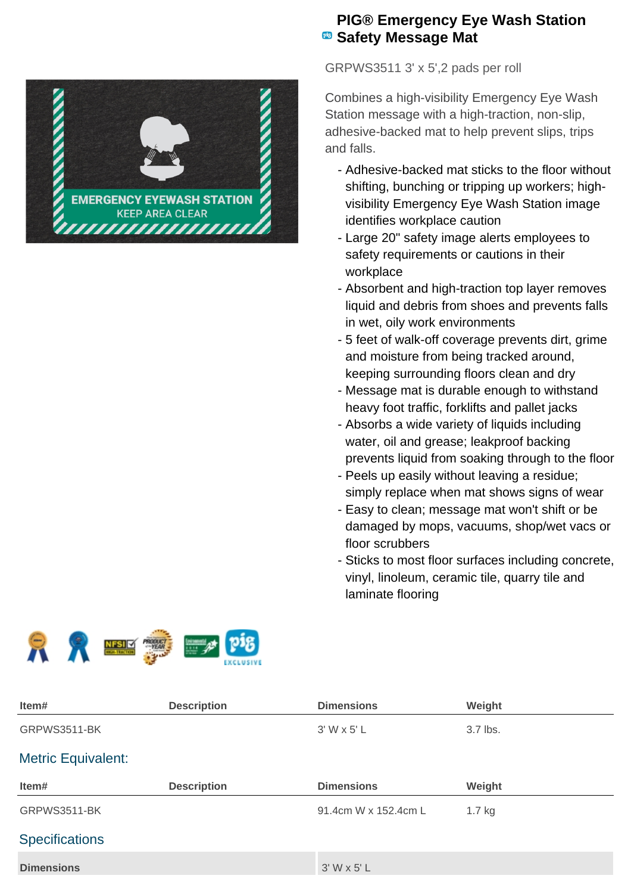

## **PIG® Emergency Eye Wash Station B** Safety Message Mat

GRPWS3511 3' x 5',2 pads per roll

Combines a high-visibility Emergency Eye Wash Station message with a high-traction, non-slip, adhesive-backed mat to help prevent slips, trips and falls.

- Adhesive-backed mat sticks to the floor without shifting, bunching or tripping up workers; highvisibility Emergency Eye Wash Station image identifies workplace caution
- Large 20" safety image alerts employees to safety requirements or cautions in their workplace
- Absorbent and high-traction top layer removes liquid and debris from shoes and prevents falls in wet, oily work environments
- 5 feet of walk-off coverage prevents dirt, grime and moisture from being tracked around, keeping surrounding floors clean and dry
- Message mat is durable enough to withstand heavy foot traffic, forklifts and pallet jacks
- Absorbs a wide variety of liquids including water, oil and grease; leakproof backing prevents liquid from soaking through to the floor
- Peels up easily without leaving a residue; simply replace when mat shows signs of wear
- Easy to clean; message mat won't shift or be damaged by mops, vacuums, shop/wet vacs or floor scrubbers
- Sticks to most floor surfaces including concrete, vinyl, linoleum, ceramic tile, quarry tile and laminate flooring



| Item#                     | <b>Description</b> | <b>Dimensions</b>    | Weight   |  |
|---------------------------|--------------------|----------------------|----------|--|
| GRPWS3511-BK              |                    | $3'$ W x 5' L        | 3.7 lbs. |  |
| <b>Metric Equivalent:</b> |                    |                      |          |  |
| Item#                     | <b>Description</b> | <b>Dimensions</b>    | Weight   |  |
| GRPWS3511-BK              |                    | 91.4cm W x 152.4cm L | $1.7$ kg |  |
| <b>Specifications</b>     |                    |                      |          |  |
| <b>Dimensions</b>         |                    | $3'$ W x 5' L        |          |  |